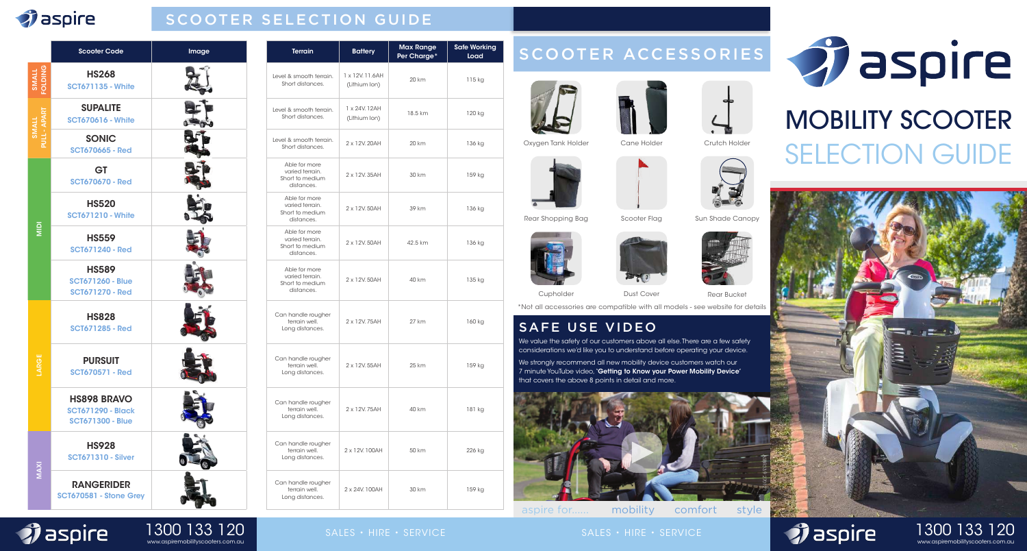# *<i>i* aspire

 $\hat{\mathbf{y}}$  aspire

# SCOOTER SELECTION GUIDE

|                        | Scooter Code                                                              | Image |                           |
|------------------------|---------------------------------------------------------------------------|-------|---------------------------|
| <b>SNIGTO</b><br>SMALI | <b>HS268</b><br><b>SCT671135 - White</b>                                  |       | Level 8<br>Sho            |
| <b>TIVINS</b>          | <b>SUPALITE</b><br><b>SCT670616 - White</b>                               |       | Level 8<br>Sho            |
|                        | <b>SONIC</b><br><b>SCT670665 - Red</b>                                    |       | Level 8<br>Sho            |
| $rac{1}{2}$            | <b>GT</b><br><b>SCT670670 - Red</b>                                       |       | Ak<br>VC<br>Sho           |
|                        | <b>HS520</b><br><b>SCT671210 - White</b>                                  |       | Ak<br>VC<br>Sho           |
|                        | <b>HS559</b><br><b>SCT671240 - Red</b>                                    |       | Ak<br>VC<br>Sho           |
|                        | <b>HS589</b><br><b>SCT671260 - Blue</b><br><b>SCT671270 - Red</b>         |       | Ak<br>VC<br>Sho           |
|                        | <b>HS828</b><br><b>SCT671285 - Red</b>                                    |       | Can h<br>$\dagger$<br>Lor |
|                        | <b>PURSUIT</b><br><b>SCT670571 - Red</b>                                  |       | Can h<br>t<br>Lor         |
|                        | <b>HS898 BRAVO</b><br><b>SCT671290 - Black</b><br><b>SCT671300 - Blue</b> |       | Can h<br>t<br>Lor         |
| <b>MAXI</b>            | <b>HS928</b><br><b>SCT671310 - Silver</b>                                 |       | Can h<br>t<br>Lor         |
|                        | <b>RANGERIDER</b><br>SCT670581 - Stone Grey                               |       | Can h<br>t<br>Lor         |

www.aspiremobilityscooters.com.au 1300 133 120

| <b>Terrain</b>                                                    | <b>Battery</b>                   | <b>Max Range</b><br>Per Charge <sup>*</sup> | <b>Safe Working</b><br>Load |
|-------------------------------------------------------------------|----------------------------------|---------------------------------------------|-----------------------------|
| Level & smooth terrain.<br>Short distances.                       | 1 x 12V. 11.6AH<br>(Lithium Ion) | 20 km                                       | 115 kg                      |
| Level & smooth terrain.<br>Short distances.                       | 1 x 24V. 12AH<br>(Lithium Ion)   | 18.5 km                                     | 120 kg                      |
| Level & smooth terrain.<br>Short distances.                       | 2 x 12V.20AH                     | 20 km                                       | 136 kg                      |
| Able for more<br>varied terrain.<br>Short to medium<br>distances. | 2 x 12V.35AH                     | 30 km                                       | 159 kg                      |
| Able for more<br>varied terrain.<br>Short to medium<br>distances. | 2 x 12V.50AH                     | 39 km                                       | 136 kg                      |
| Able for more<br>varied terrain.<br>Short to medium<br>distances. | 2 x 12V, 50AH                    | 42.5 km                                     | 136 kg                      |
| Able for more<br>varied terrain.<br>Short to medium<br>distances. | 2 x 12V.50AH                     | 40 km                                       | 135 kg                      |
| Can handle rougher<br>terrain well.<br>Long distances.            | 2 x 12V.75AH                     | 27 km                                       | 160 kg                      |
| Can handle rougher<br>terrain well.<br>Long distances.            | 2 x 12V.55AH                     | 25 km                                       | 159 kg                      |
| Can handle rougher<br>terrain well.<br>Long distances.            | 2 x 12V.75AH                     | 40 km                                       | 181 kg                      |
| Can handle rougher<br>terrain well.<br>Long distances.            | 2 x 12V. 100AH                   | 50 km                                       | 226 kg                      |
| Can handle rougher<br>terrain well.<br>Long distances.            | 2 x 24V. 100AH                   | 30 km                                       | 159 kg                      |

# SCOOTER ACCESSORIES

Oxygen Tank Holder Cane Holder Crutch Holder







# MOBILITY SCOOTER SELECTION GUIDE



aspire for...... mobility comfort style

SAFE USE VIDEO

that covers the above 8 points in detail and more.





SALES • HIRE • SERVICE SALES • HIRE • SERVICE